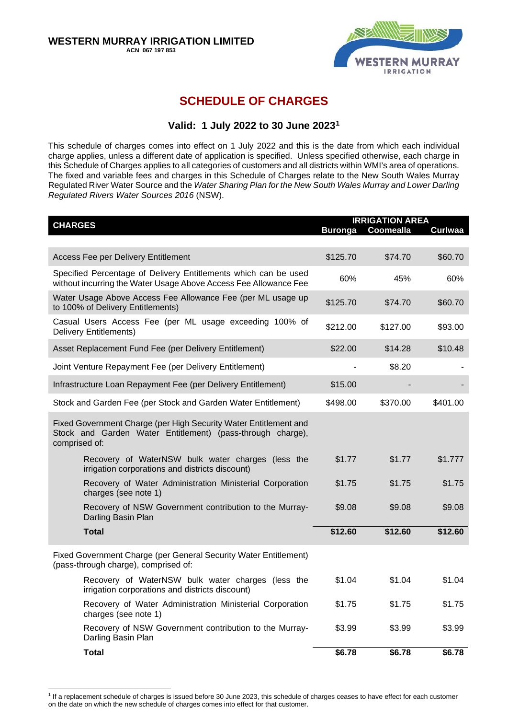

# **SCHEDULE OF CHARGES**

# **Valid: 1 July 2022 to 30 June 2023[1](#page-0-0)**

This schedule of charges comes into effect on 1 July 2022 and this is the date from which each individual charge applies, unless a different date of application is specified. Unless specified otherwise, each charge in this Schedule of Charges applies to all categories of customers and all districts within WMI's area of operations. The fixed and variable fees and charges in this Schedule of Charges relate to the New South Wales Murray Regulated River Water Source and the *Water Sharing Plan for the New South Wales Murray and Lower Darling Regulated Rivers Water Sources 2016* (NSW).

| <b>CHARGES</b>                                                                                                                                  |          | <b>IRRIGATION AREA</b><br>Buronga Coomealla<br><b>Curlwaa</b> |          |  |
|-------------------------------------------------------------------------------------------------------------------------------------------------|----------|---------------------------------------------------------------|----------|--|
|                                                                                                                                                 |          |                                                               |          |  |
| <b>Access Fee per Delivery Entitlement</b>                                                                                                      | \$125.70 | \$74.70                                                       | \$60.70  |  |
| Specified Percentage of Delivery Entitlements which can be used<br>without incurring the Water Usage Above Access Fee Allowance Fee             | 60%      | 45%                                                           | 60%      |  |
| Water Usage Above Access Fee Allowance Fee (per ML usage up<br>to 100% of Delivery Entitlements)                                                | \$125.70 | \$74.70                                                       | \$60.70  |  |
| Casual Users Access Fee (per ML usage exceeding 100% of<br><b>Delivery Entitlements)</b>                                                        |          | \$127.00                                                      | \$93.00  |  |
| Asset Replacement Fund Fee (per Delivery Entitlement)                                                                                           | \$22.00  | \$14.28                                                       | \$10.48  |  |
| Joint Venture Repayment Fee (per Delivery Entitlement)                                                                                          |          | \$8.20                                                        |          |  |
| Infrastructure Loan Repayment Fee (per Delivery Entitlement)                                                                                    | \$15.00  |                                                               |          |  |
| Stock and Garden Fee (per Stock and Garden Water Entitlement)                                                                                   | \$498.00 | \$370.00                                                      | \$401.00 |  |
| Fixed Government Charge (per High Security Water Entitlement and<br>Stock and Garden Water Entitlement) (pass-through charge),<br>comprised of: |          |                                                               |          |  |
| Recovery of WaterNSW bulk water charges (less the<br>irrigation corporations and districts discount)                                            | \$1.77   | \$1.77                                                        | \$1.777  |  |
| Recovery of Water Administration Ministerial Corporation<br>charges (see note 1)                                                                | \$1.75   | \$1.75                                                        | \$1.75   |  |
| Recovery of NSW Government contribution to the Murray-<br>Darling Basin Plan                                                                    | \$9.08   | \$9.08                                                        | \$9.08   |  |
| <b>Total</b>                                                                                                                                    | \$12.60  | \$12.60                                                       | \$12.60  |  |
| Fixed Government Charge (per General Security Water Entitlement)<br>(pass-through charge), comprised of:                                        |          |                                                               |          |  |
| Recovery of WaterNSW bulk water charges (less the<br>irrigation corporations and districts discount)                                            | \$1.04   | \$1.04                                                        | \$1.04   |  |
| Recovery of Water Administration Ministerial Corporation<br>charges (see note 1)                                                                | \$1.75   | \$1.75                                                        | \$1.75   |  |
| Recovery of NSW Government contribution to the Murray-<br>Darling Basin Plan                                                                    | \$3.99   | \$3.99                                                        | \$3.99   |  |
| <b>Total</b>                                                                                                                                    | \$6.78   | \$6.78                                                        | \$6.78   |  |

<span id="page-0-0"></span><sup>1</sup> If a replacement schedule of charges is issued before 30 June 2023, this schedule of charges ceases to have effect for each customer on the date on which the new schedule of charges comes into effect for that customer.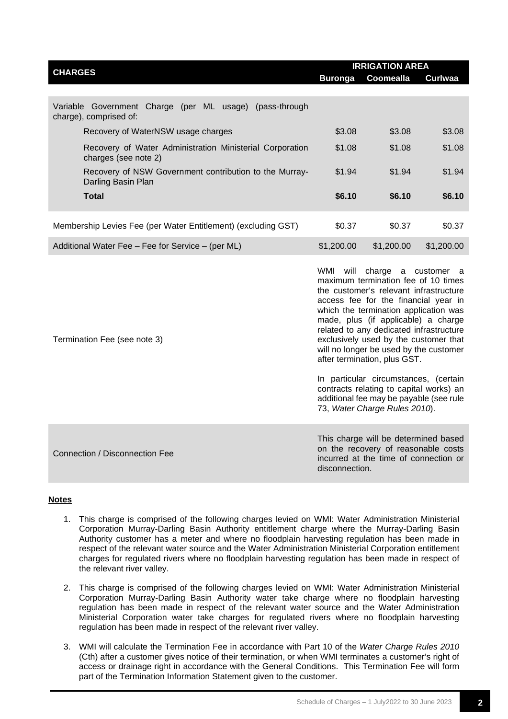| <b>CHARGES</b>                                                                    | <b>IRRIGATION AREA</b> |                  |                |  |
|-----------------------------------------------------------------------------------|------------------------|------------------|----------------|--|
|                                                                                   | <b>Buronga</b>         | <b>Coomealla</b> | <b>Curlwaa</b> |  |
|                                                                                   |                        |                  |                |  |
| Variable Government Charge (per ML usage) (pass-through<br>charge), comprised of: |                        |                  |                |  |
| Recovery of WaterNSW usage charges                                                | \$3.08                 | \$3.08           | \$3.08         |  |
| Recovery of Water Administration Ministerial Corporation<br>charges (see note 2)  |                        | \$1.08           | \$1.08         |  |
| Recovery of NSW Government contribution to the Murray-<br>Darling Basin Plan      | \$1.94                 | \$1.94           | \$1.94         |  |
| <b>Total</b>                                                                      | \$6.10                 | \$6.10           | \$6.10         |  |
| Membership Levies Fee (per Water Entitlement) (excluding GST)                     | \$0.37                 | \$0.37           | \$0.37         |  |
| Additional Water Fee - Fee for Service - (per ML)                                 | \$1,200.00             | \$1,200.00       | \$1,200.00     |  |

maximum termination fee of 10 times the customer's relevant infrastructure access fee for the financial year in which the termination application was made, plus (if applicable) a charge related to any dedicated infrastructure exclusively used by the customer that will no longer be used by the customer after termination, plus GST.

WMI will charge a customer a

In particular circumstances, (certain contracts relating to capital works) an additional fee may be payable (see rule 73, *Water Charge Rules 2010*).

Connection / Disconnection Fee

Termination Fee (see note 3)

This charge will be determined based on the recovery of reasonable costs incurred at the time of connection or disconnection.

#### **Notes**

- 1. This charge is comprised of the following charges levied on WMI: Water Administration Ministerial Corporation Murray-Darling Basin Authority entitlement charge where the Murray-Darling Basin Authority customer has a meter and where no floodplain harvesting regulation has been made in respect of the relevant water source and the Water Administration Ministerial Corporation entitlement charges for regulated rivers where no floodplain harvesting regulation has been made in respect of the relevant river valley.
- 2. This charge is comprised of the following charges levied on WMI: Water Administration Ministerial Corporation Murray-Darling Basin Authority water take charge where no floodplain harvesting regulation has been made in respect of the relevant water source and the Water Administration Ministerial Corporation water take charges for regulated rivers where no floodplain harvesting regulation has been made in respect of the relevant river valley.
- 3. WMI will calculate the Termination Fee in accordance with Part 10 of the *Water Charge Rules 2010* (Cth) after a customer gives notice of their termination, or when WMI terminates a customer's right of access or drainage right in accordance with the General Conditions. This Termination Fee will form part of the Termination Information Statement given to the customer.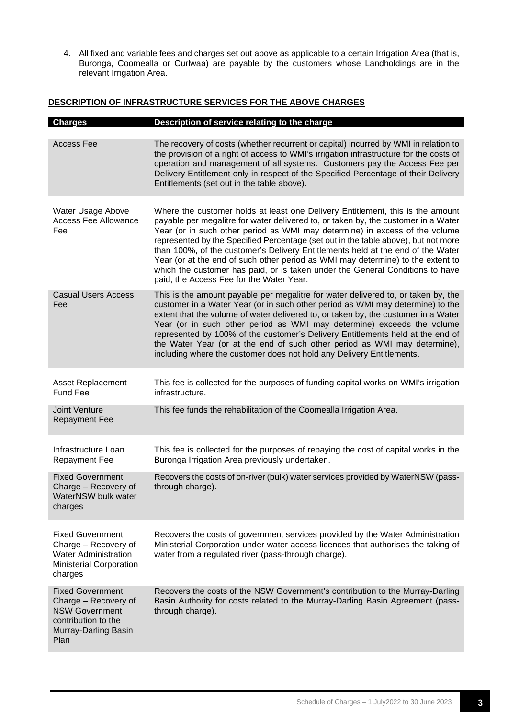4. All fixed and variable fees and charges set out above as applicable to a certain Irrigation Area (that is, Buronga, Coomealla or Curlwaa) are payable by the customers whose Landholdings are in the relevant Irrigation Area.

## **DESCRIPTION OF INFRASTRUCTURE SERVICES FOR THE ABOVE CHARGES**

| <b>Charges</b>                                                                                                                  | Description of service relating to the charge                                                                                                                                                                                                                                                                                                                                                                                                                                                                                                                                                                                                |
|---------------------------------------------------------------------------------------------------------------------------------|----------------------------------------------------------------------------------------------------------------------------------------------------------------------------------------------------------------------------------------------------------------------------------------------------------------------------------------------------------------------------------------------------------------------------------------------------------------------------------------------------------------------------------------------------------------------------------------------------------------------------------------------|
| <b>Access Fee</b>                                                                                                               | The recovery of costs (whether recurrent or capital) incurred by WMI in relation to<br>the provision of a right of access to WMI's irrigation infrastructure for the costs of<br>operation and management of all systems. Customers pay the Access Fee per<br>Delivery Entitlement only in respect of the Specified Percentage of their Delivery<br>Entitlements (set out in the table above).                                                                                                                                                                                                                                               |
| Water Usage Above<br><b>Access Fee Allowance</b><br>Fee                                                                         | Where the customer holds at least one Delivery Entitlement, this is the amount<br>payable per megalitre for water delivered to, or taken by, the customer in a Water<br>Year (or in such other period as WMI may determine) in excess of the volume<br>represented by the Specified Percentage (set out in the table above), but not more<br>than 100%, of the customer's Delivery Entitlements held at the end of the Water<br>Year (or at the end of such other period as WMI may determine) to the extent to<br>which the customer has paid, or is taken under the General Conditions to have<br>paid, the Access Fee for the Water Year. |
| <b>Casual Users Access</b><br>Fee                                                                                               | This is the amount payable per megalitre for water delivered to, or taken by, the<br>customer in a Water Year (or in such other period as WMI may determine) to the<br>extent that the volume of water delivered to, or taken by, the customer in a Water<br>Year (or in such other period as WMI may determine) exceeds the volume<br>represented by 100% of the customer's Delivery Entitlements held at the end of<br>the Water Year (or at the end of such other period as WMI may determine),<br>including where the customer does not hold any Delivery Entitlements.                                                                  |
| <b>Asset Replacement</b><br><b>Fund Fee</b>                                                                                     | This fee is collected for the purposes of funding capital works on WMI's irrigation<br>infrastructure.                                                                                                                                                                                                                                                                                                                                                                                                                                                                                                                                       |
| Joint Venture<br><b>Repayment Fee</b>                                                                                           | This fee funds the rehabilitation of the Coomealla Irrigation Area.                                                                                                                                                                                                                                                                                                                                                                                                                                                                                                                                                                          |
| Infrastructure Loan<br><b>Repayment Fee</b>                                                                                     | This fee is collected for the purposes of repaying the cost of capital works in the<br>Buronga Irrigation Area previously undertaken.                                                                                                                                                                                                                                                                                                                                                                                                                                                                                                        |
| <b>Fixed Government</b><br>Charge - Recovery of<br>WaterNSW bulk water<br>charges                                               | Recovers the costs of on-river (bulk) water services provided by WaterNSW (pass-<br>through charge).                                                                                                                                                                                                                                                                                                                                                                                                                                                                                                                                         |
| <b>Fixed Government</b><br>Charge - Recovery of<br><b>Water Administration</b><br><b>Ministerial Corporation</b><br>charges     | Recovers the costs of government services provided by the Water Administration<br>Ministerial Corporation under water access licences that authorises the taking of<br>water from a regulated river (pass-through charge).                                                                                                                                                                                                                                                                                                                                                                                                                   |
| <b>Fixed Government</b><br>Charge - Recovery of<br><b>NSW Government</b><br>contribution to the<br>Murray-Darling Basin<br>Plan | Recovers the costs of the NSW Government's contribution to the Murray-Darling<br>Basin Authority for costs related to the Murray-Darling Basin Agreement (pass-<br>through charge).                                                                                                                                                                                                                                                                                                                                                                                                                                                          |
|                                                                                                                                 |                                                                                                                                                                                                                                                                                                                                                                                                                                                                                                                                                                                                                                              |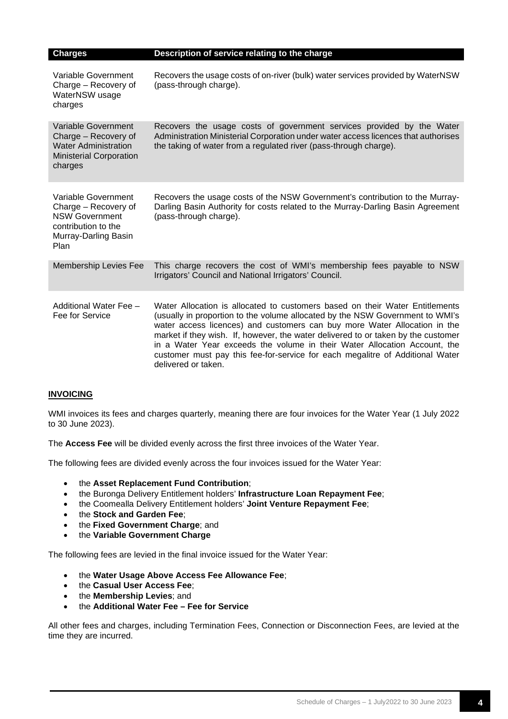| <b>Charges</b>                                                                                                                     | Description of service relating to the charge                                                                                                                                                                                                                                                                                                                                                                                                                                                                        |
|------------------------------------------------------------------------------------------------------------------------------------|----------------------------------------------------------------------------------------------------------------------------------------------------------------------------------------------------------------------------------------------------------------------------------------------------------------------------------------------------------------------------------------------------------------------------------------------------------------------------------------------------------------------|
| Variable Government<br>Charge - Recovery of<br>WaterNSW usage<br>charges                                                           | Recovers the usage costs of on-river (bulk) water services provided by WaterNSW<br>(pass-through charge).                                                                                                                                                                                                                                                                                                                                                                                                            |
| Variable Government<br>Charge - Recovery of<br><b>Water Administration</b><br><b>Ministerial Corporation</b><br>charges            | Recovers the usage costs of government services provided by the Water<br>Administration Ministerial Corporation under water access licences that authorises<br>the taking of water from a regulated river (pass-through charge).                                                                                                                                                                                                                                                                                     |
| Variable Government<br>Charge - Recovery of<br><b>NSW Government</b><br>contribution to the<br>Murray-Darling Basin<br><b>Plan</b> | Recovers the usage costs of the NSW Government's contribution to the Murray-<br>Darling Basin Authority for costs related to the Murray-Darling Basin Agreement<br>(pass-through charge).                                                                                                                                                                                                                                                                                                                            |
| <b>Membership Levies Fee</b>                                                                                                       | This charge recovers the cost of WMI's membership fees payable to NSW<br>Irrigators' Council and National Irrigators' Council.                                                                                                                                                                                                                                                                                                                                                                                       |
| Additional Water Fee -<br>Fee for Service                                                                                          | Water Allocation is allocated to customers based on their Water Entitlements<br>(usually in proportion to the volume allocated by the NSW Government to WMI's<br>water access licences) and customers can buy more Water Allocation in the<br>market if they wish. If, however, the water delivered to or taken by the customer<br>in a Water Year exceeds the volume in their Water Allocation Account, the<br>customer must pay this fee-for-service for each megalitre of Additional Water<br>delivered or taken. |

### **INVOICING**

WMI invoices its fees and charges quarterly, meaning there are four invoices for the Water Year (1 July 2022 to 30 June 2023).

The **Access Fee** will be divided evenly across the first three invoices of the Water Year.

The following fees are divided evenly across the four invoices issued for the Water Year:

- the **Asset Replacement Fund Contribution**;
- the Buronga Delivery Entitlement holders' **Infrastructure Loan Repayment Fee**;
- the Coomealla Delivery Entitlement holders' **Joint Venture Repayment Fee**;
- the **Stock and Garden Fee**;
- the **Fixed Government Charge**; and
- the **Variable Government Charge**

The following fees are levied in the final invoice issued for the Water Year:

- the **Water Usage Above Access Fee Allowance Fee**;
- the **Casual User Access Fee**;
- the **Membership Levies**; and
- the **Additional Water Fee – Fee for Service**

All other fees and charges, including Termination Fees, Connection or Disconnection Fees, are levied at the time they are incurred.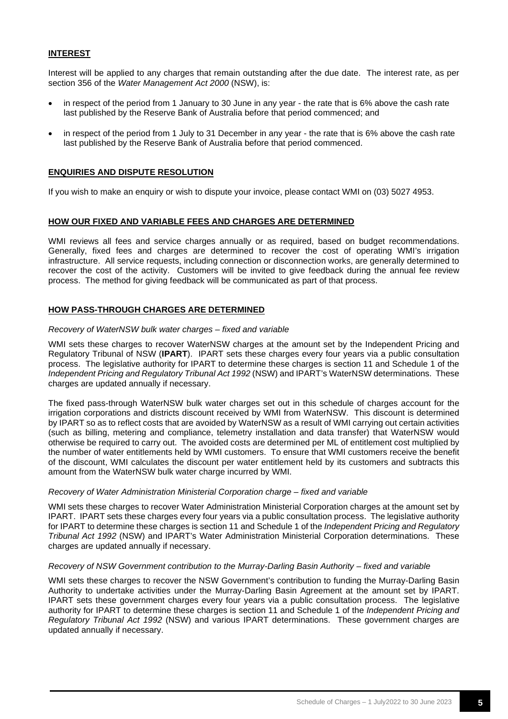### **INTEREST**

Interest will be applied to any charges that remain outstanding after the due date. The interest rate, as per section 356 of the *Water Management Act 2000* (NSW), is:

- in respect of the period from 1 January to 30 June in any year the rate that is 6% above the cash rate last published by the Reserve Bank of Australia before that period commenced; and
- in respect of the period from 1 July to 31 December in any year the rate that is 6% above the cash rate last published by the Reserve Bank of Australia before that period commenced.

#### **ENQUIRIES AND DISPUTE RESOLUTION**

If you wish to make an enquiry or wish to dispute your invoice, please contact WMI on (03) 5027 4953.

#### **HOW OUR FIXED AND VARIABLE FEES AND CHARGES ARE DETERMINED**

WMI reviews all fees and service charges annually or as required, based on budget recommendations. Generally, fixed fees and charges are determined to recover the cost of operating WMI's irrigation infrastructure. All service requests, including connection or disconnection works, are generally determined to recover the cost of the activity. Customers will be invited to give feedback during the annual fee review process. The method for giving feedback will be communicated as part of that process.

#### **HOW PASS-THROUGH CHARGES ARE DETERMINED**

#### *Recovery of WaterNSW bulk water charges – fixed and variable*

WMI sets these charges to recover WaterNSW charges at the amount set by the Independent Pricing and Regulatory Tribunal of NSW (**IPART**). IPART sets these charges every four years via a public consultation process. The legislative authority for IPART to determine these charges is section 11 and Schedule 1 of the *Independent Pricing and Regulatory Tribunal Act 1992* (NSW) and IPART's WaterNSW determinations. These charges are updated annually if necessary.

The fixed pass-through WaterNSW bulk water charges set out in this schedule of charges account for the irrigation corporations and districts discount received by WMI from WaterNSW. This discount is determined by IPART so as to reflect costs that are avoided by WaterNSW as a result of WMI carrying out certain activities (such as billing, metering and compliance, telemetry installation and data transfer) that WaterNSW would otherwise be required to carry out. The avoided costs are determined per ML of entitlement cost multiplied by the number of water entitlements held by WMI customers. To ensure that WMI customers receive the benefit of the discount, WMI calculates the discount per water entitlement held by its customers and subtracts this amount from the WaterNSW bulk water charge incurred by WMI.

#### *Recovery of Water Administration Ministerial Corporation charge – fixed and variable*

WMI sets these charges to recover Water Administration Ministerial Corporation charges at the amount set by IPART. IPART sets these charges every four years via a public consultation process. The legislative authority for IPART to determine these charges is section 11 and Schedule 1 of the *Independent Pricing and Regulatory Tribunal Act 1992* (NSW) and IPART's Water Administration Ministerial Corporation determinations. These charges are updated annually if necessary.

#### *Recovery of NSW Government contribution to the Murray-Darling Basin Authority – fixed and variable*

WMI sets these charges to recover the NSW Government's contribution to funding the Murray-Darling Basin Authority to undertake activities under the Murray-Darling Basin Agreement at the amount set by IPART. IPART sets these government charges every four years via a public consultation process. The legislative authority for IPART to determine these charges is section 11 and Schedule 1 of the *Independent Pricing and Regulatory Tribunal Act 1992* (NSW) and various IPART determinations. These government charges are updated annually if necessary.